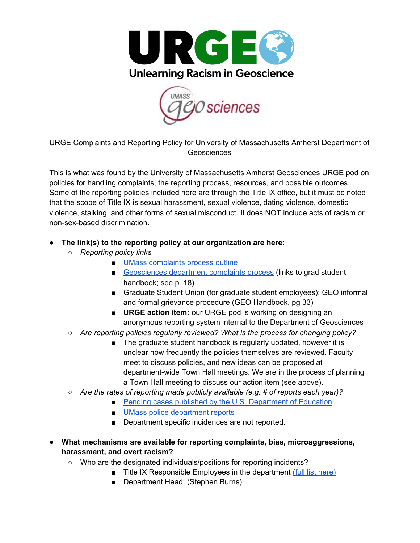



URGE Complaints and Reporting Policy for University of Massachusetts Amherst Department of Geosciences

This is what was found by the University of Massachusetts Amherst Geosciences URGE pod on policies for handling complaints, the reporting process, resources, and possible outcomes. Some of the reporting policies included here are through the Title IX office, but it must be noted that the scope of Title IX is sexual harassment, sexual violence, dating violence, domestic violence, stalking, and other forms of sexual misconduct. It does NOT include acts of racism or non-sex-based discrimination.

## **● The link(s) to the reporting policy at our organization are here:**

- *○ Reporting policy links*
	- UMass [complaints](https://www.umass.edu/oir/sites/default/files/disclosure/Student%20Complaint%20Process.pdf) process outline
	- [Geosciences](https://www.geo.umass.edu/research/geowebsite_assets/geogradprogram/Geosciences%20manual%20Sep19.pdf) department complaints process (links to grad student handbook; see p. 18)
	- Graduate Student Union (for graduate student employees): GEO informal and formal grievance procedure (GEO Handbook, pg 33)
	- **URGE** action item: our URGE pod is working on designing an anonymous reporting system internal to the Department of Geosciences
- *○ Are reporting policies regularly reviewed? What is the process for changing policy?*
	- *■* The graduate student handbook is regularly updated, however it is unclear how frequently the policies themselves are reviewed. Faculty meet to discuss policies, and new ideas can be proposed at department-wide Town Hall meetings. We are in the process of planning a Town Hall meeting to discuss our action item (see above).
- *○ Are the rates of reporting made publicly available (e.g. # of reports each year)?*
	- Pending cases published by the U.S. [Department](https://www2.ed.gov/about/offices/list/ocr/docs/investigations/open-investigations/tix.html?perPage=1000) of Education
	- UMass police [department](https://www.umass.edu/umpd/clery-act) reports
	- Department specific incidences are not reported.
- **● What mechanisms are available for reporting complaints, bias, microaggressions, harassment, and overt racism?**
	- Who are the designated individuals/positions for reporting incidents?
		- Title IX Responsible Employees in the department (full list [here\)](https://www.umass.edu/equalopportunity/report/how-get-support-and-how-report-assaults)
			- Department Head: (Stephen Burns)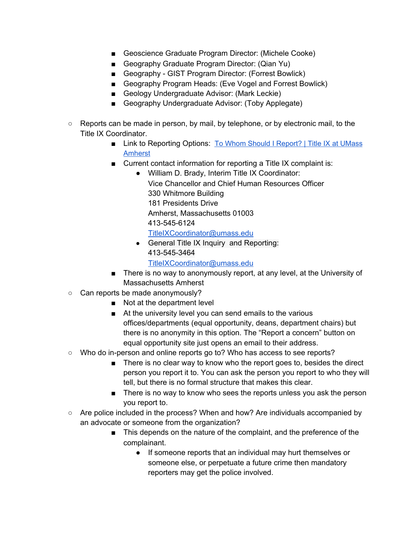- Geoscience Graduate Program Director: (Michele Cooke)
- Geography Graduate Program Director: (Qian Yu)
- Geography GIST Program Director: (Forrest Bowlick)
- Geography Program Heads: (Eve Vogel and Forrest Bowlick)
- Geology Undergraduate Advisor: (Mark Leckie)
- Geography Undergraduate Advisor: (Toby Applegate)
- Reports can be made in person, by mail, by telephone, or by electronic mail, to the Title IX Coordinator.
	- Link to Reporting Options: [To Whom Should I Report? | Title IX at UMass](http://www.umass.edu/titleix/reporting/my-reporting-options/whom-should-i-report) [Amherst](http://www.umass.edu/titleix/reporting/my-reporting-options/whom-should-i-report)
	- Current contact information for reporting a Title IX complaint is:
		- William D. Brady, Interim Title IX Coordinator: Vice Chancellor and Chief Human Resources Officer 330 Whitmore Building 181 Presidents Drive Amherst, Massachusetts 01003 413-545-6124

[TitleIXCoordinator@umass.edu](mailto:TitleIXCoordinator@umass.edu)

• General Title IX Inquiry and Reporting: 413-545-3464

[TitleIXCoordinator@umass.edu](mailto:TitleIXCoordinator@umass.edu)

- There is no way to anonymously report, at any level, at the University of Massachusetts Amherst
- Can reports be made anonymously?
	- Not at the department level
	- At the university level you can send emails to the various offices/departments (equal opportunity, deans, department chairs) but there is no anonymity in this option. The "Report a concern" button on equal opportunity site just opens an email to their address.
- Who do in-person and online reports go to? Who has access to see reports?
	- There is no clear way to know who the report goes to, besides the direct person you report it to. You can ask the person you report to who they will tell, but there is no formal structure that makes this clear.
	- There is no way to know who sees the reports unless you ask the person you report to.
- Are police included in the process? When and how? Are individuals accompanied by an advocate or someone from the organization?
	- This depends on the nature of the complaint, and the preference of the complainant.
		- If someone reports that an individual may hurt themselves or someone else, or perpetuate a future crime then mandatory reporters may get the police involved.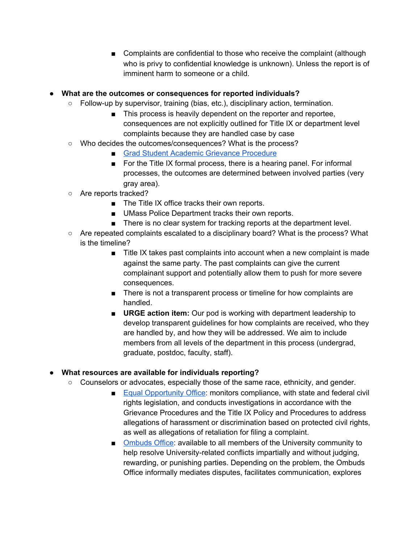■ Complaints are confidential to those who receive the complaint (although who is privy to confidential knowledge is unknown). Unless the report is of imminent harm to someone or a child.

## **● What are the outcomes or consequences for reported individuals?**

- $\circ$  Follow-up by supervisor, training (bias, etc.), disciplinary action, termination.
	- This process is heavily dependent on the reporter and reportee, consequences are not explicitly outlined for Title IX or department level complaints because they are handled case by case
- Who decides the outcomes/consequences? What is the process?
	- Grad Student Academic Grievance [Procedure](https://www.umass.edu/ombuds/sites/default/files/SR%20GC%20GRAD%20SCHOOL%20ACADEMIC%20GRIEVANCE%20PROCEDURE%20Sen.%20Doc.%20No.%2017-026_0.pdf)
	- For the Title IX formal process, there is a hearing panel. For informal processes, the outcomes are determined between involved parties (very gray area).
- Are reports tracked?
	- The Title IX office tracks their own reports.
	- UMass Police Department tracks their own reports.
	- There is no clear system for tracking reports at the department level.
- Are repeated complaints escalated to a disciplinary board? What is the process? What is the timeline?
	- Title IX takes past complaints into account when a new complaint is made against the same party. The past complaints can give the current complainant support and potentially allow them to push for more severe consequences.
	- There is not a transparent process or timeline for how complaints are handled.
	- **URGE** action item: Our pod is working with department leadership to develop transparent guidelines for how complaints are received, who they are handled by, and how they will be addressed. We aim to include members from all levels of the department in this process (undergrad, graduate, postdoc, faculty, staff).

## **● What resources are available for individuals reporting?**

- Counselors or advocates, especially those of the same race, ethnicity, and gender.
	- Equal [Opportunity](https://www.umass.edu/equalopportunity/) Office: monitors compliance, with state and federal civil rights legislation, and conducts investigations in accordance with the Grievance Procedures and the Title IX Policy and Procedures to address allegations of harassment or discrimination based on protected civil rights, as well as allegations of retaliation for filing a complaint.
	- [Ombuds](https://www.umass.edu/ombuds/home) Office: available to all members of the University community to help resolve University-related conflicts impartially and without judging, rewarding, or punishing parties. Depending on the problem, the Ombuds Office informally mediates disputes, facilitates communication, explores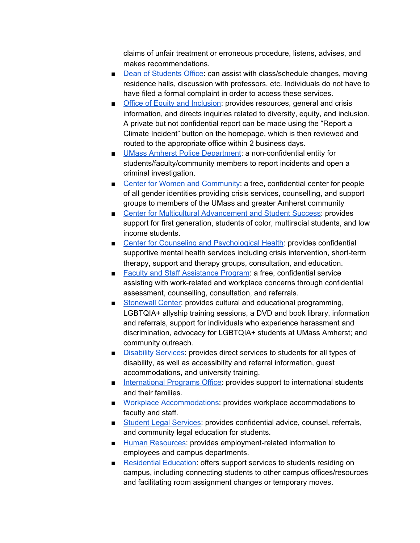claims of unfair treatment or erroneous procedure, listens, advises, and makes recommendations.

- Dean of [Students](https://www.umass.edu/dean_students/) Office: can assist with class/schedule changes, moving residence halls, discussion with professors, etc. Individuals do not have to have filed a formal complaint in order to access these services.
- Office of Equity and [Inclusion](https://www.umass.edu/diversity/): provides resources, general and crisis information, and directs inquiries related to diversity, equity, and inclusion. A private but not confidential report can be made using the "Report a Climate Incident" button on the homepage, which is then reviewed and routed to the appropriate office within 2 business days.
- UMass Amherst Police [Department:](https://www.umass.edu/umpd/) a non-confidential entity for students/faculty/community members to report incidents and open a criminal investigation.
- Center for Women and [Community:](https://www.umass.edu/cwc/) a free, confidential center for people of all gender identities providing crisis services, counselling, and support groups to members of the UMass and greater Amherst community
- Center for Multicultural [Advancement](https://www.umass.edu/cmass/) and Student Success: provides support for first generation, students of color, multiracial students, and low income students.
- Center for Counseling and [Psychological](https://www.umass.edu/counseling/) Health: provides confidential supportive mental health services including crisis intervention, short-term therapy, support and therapy groups, consultation, and education.
- Faculty and Staff [Assistance](https://www.umass.edu/humres/faculty-and-staff-assistance-program) Program: a free, confidential service assisting with work-related and workplace concerns through confidential assessment, counselling, consultation, and referrals.
- [Stonewall](https://www.umass.edu/stonewall/) Center: provides cultural and educational programming, LGBTQIA+ allyship training sessions, a DVD and book library, information and referrals, support for individuals who experience harassment and discrimination, advocacy for LGBTQIA+ students at UMass Amherst; and community outreach.
- [Disability](https://www.umass.edu/disability/) Services: provides direct services to students for all types of disability, as well as accessibility and referral information, guest accommodations, and university training.
- [International](https://www.umass.edu/ipo/) Programs Office: provides support to international students and their families.
- Workplace [Accommodations:](https://www.umass.edu/humres/accessible-workplace) provides workplace accommodations to faculty and staff.
- Student Legal [Services](https://www.umass.edu/slso/): provides confidential advice, counsel, referrals, and community legal education for students.
- Human [Resources](https://www.umass.edu/humres/): provides employment-related information to employees and campus departments.
- [Residential](https://www.umass.edu/living/directory/residence-education) Education: offers support services to students residing on campus, including connecting students to other campus offices/resources and facilitating room assignment changes or temporary moves.